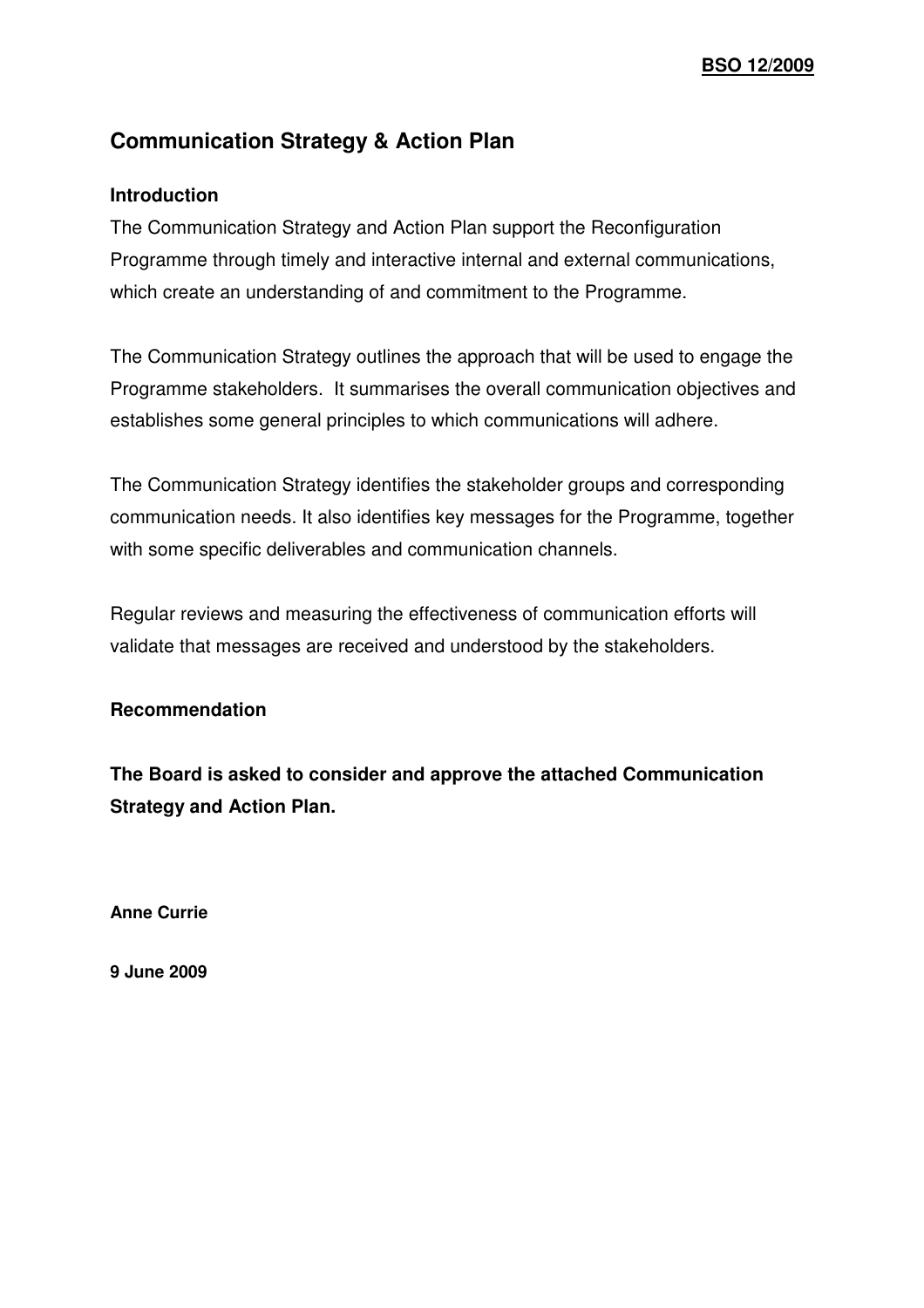## **Communication Strategy & Action Plan**

#### **Introduction**

The Communication Strategy and Action Plan support the Reconfiguration Programme through timely and interactive internal and external communications, which create an understanding of and commitment to the Programme.

The Communication Strategy outlines the approach that will be used to engage the Programme stakeholders. It summarises the overall communication objectives and establishes some general principles to which communications will adhere.

The Communication Strategy identifies the stakeholder groups and corresponding communication needs. It also identifies key messages for the Programme, together with some specific deliverables and communication channels.

Regular reviews and measuring the effectiveness of communication efforts will validate that messages are received and understood by the stakeholders.

#### **Recommendation**

**The Board is asked to consider and approve the attached Communication Strategy and Action Plan.**

**Anne Currie** 

**9 June 2009**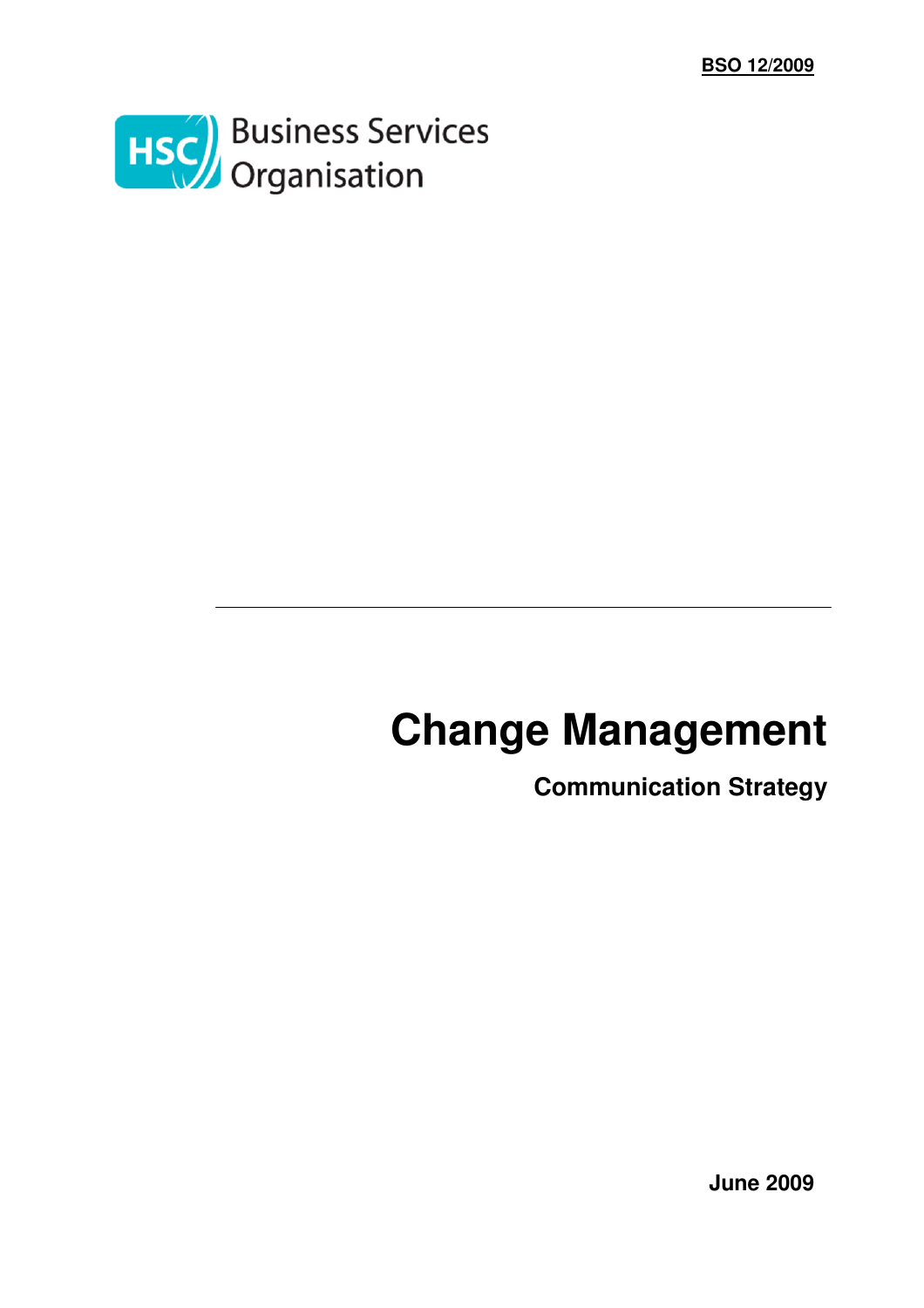

# **Change Management**

**Communication Strategy** 

**June 2009**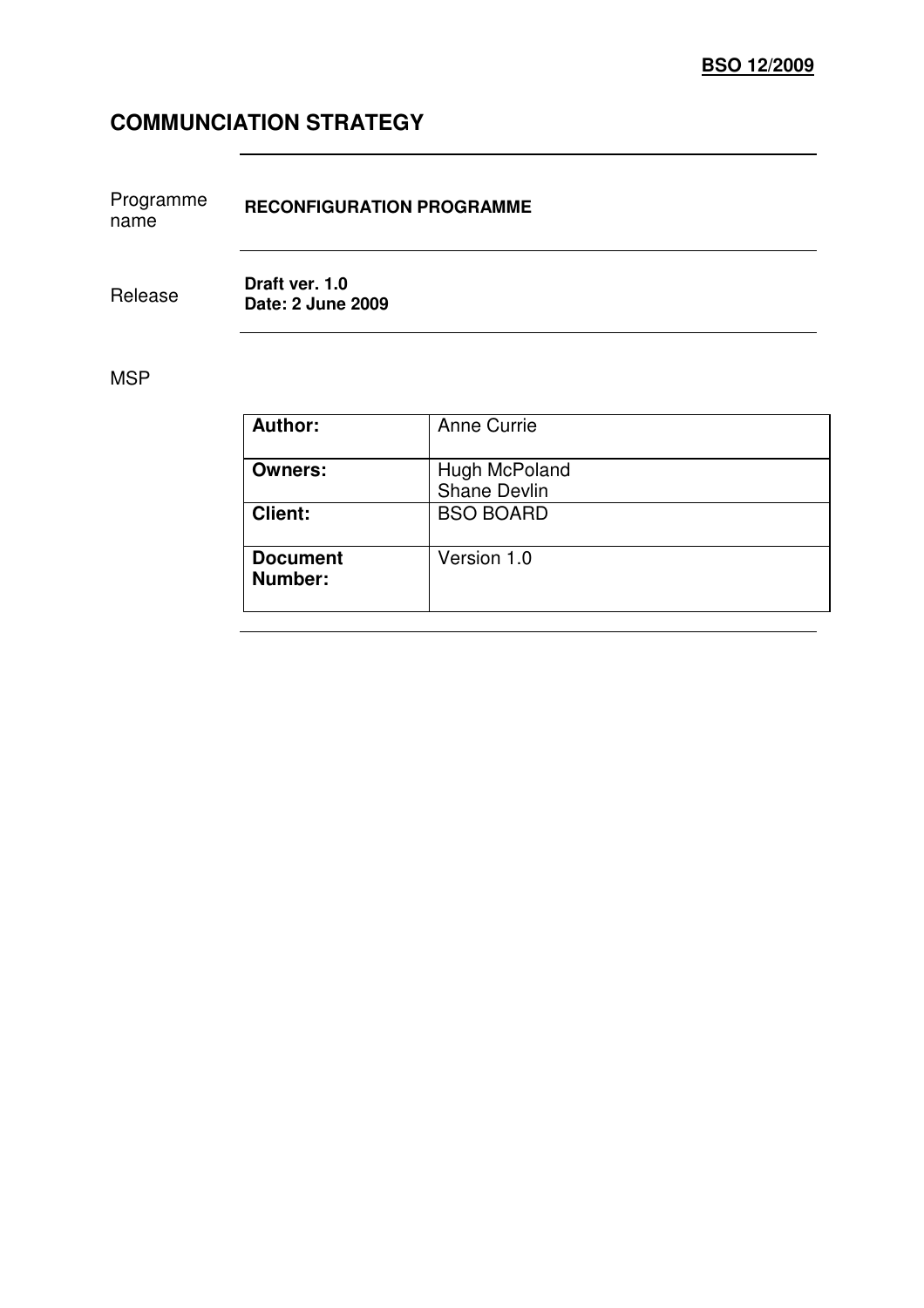# **COMMUNCIATION STRATEGY**

| Programme | <b>RECONFIGURATION PROGRAMME</b> |
|-----------|----------------------------------|
| name      |                                  |

Release **Draft ver. 1.0 Date: 2 June 2009** 

#### MSP

| <b>Author:</b>             | <b>Anne Currie</b>                   |
|----------------------------|--------------------------------------|
| <b>Owners:</b>             | Hugh McPoland<br><b>Shane Devlin</b> |
| <b>Client:</b>             | <b>BSO BOARD</b>                     |
| <b>Document</b><br>Number: | Version 1.0                          |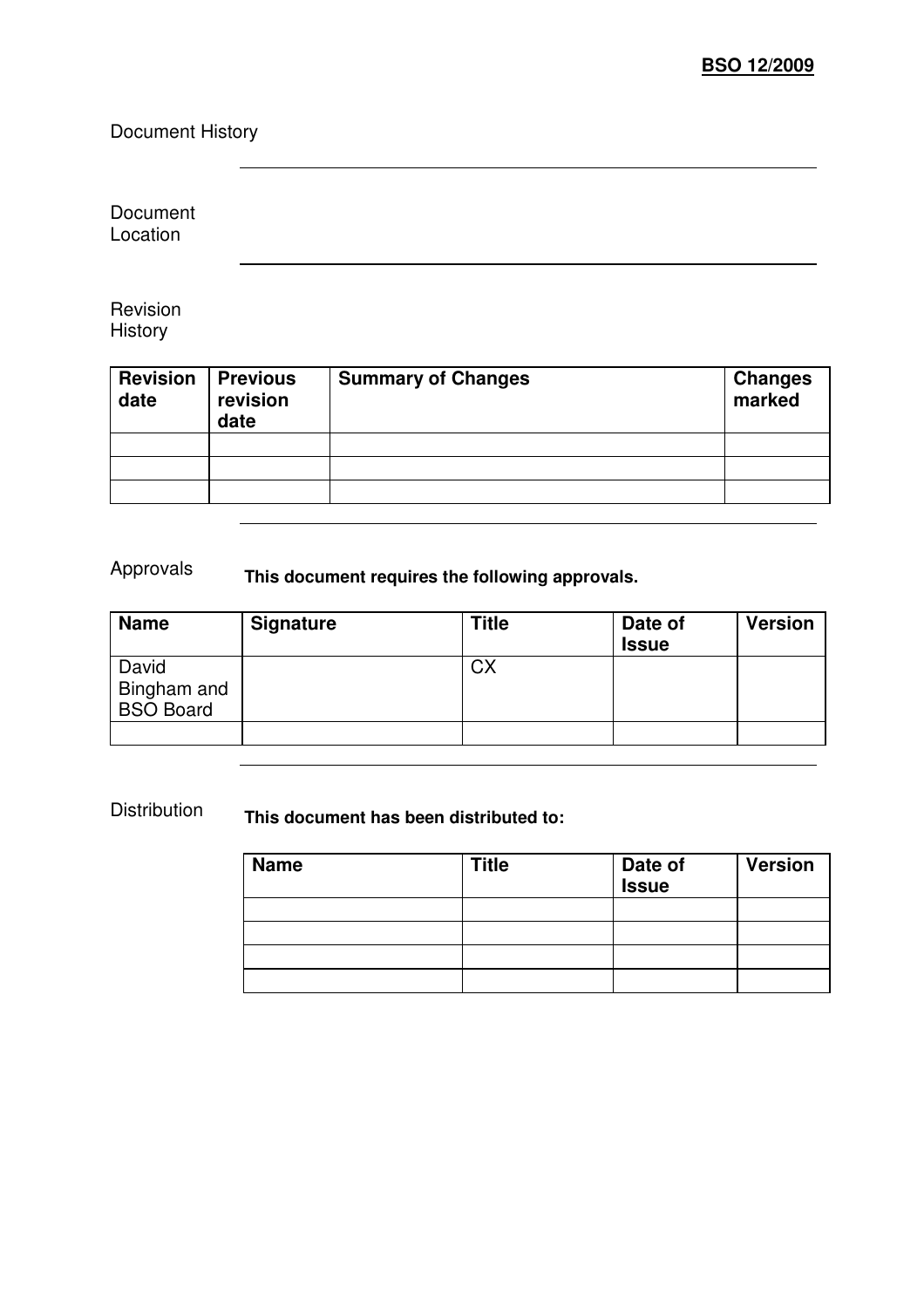Document History

Document Location

Revision **History** 

| <b>Revision</b><br>date | <b>Previous</b><br>revision<br>date | <b>Summary of Changes</b> | <b>Changes</b><br>marked |
|-------------------------|-------------------------------------|---------------------------|--------------------------|
|                         |                                     |                           |                          |
|                         |                                     |                           |                          |
|                         |                                     |                           |                          |
|                         |                                     |                           |                          |

# Approvals **This document requires the following approvals.**

| <b>Name</b>                              | <b>Signature</b> | <b>Title</b> | Date of<br><b>Issue</b> | <b>Version</b> |
|------------------------------------------|------------------|--------------|-------------------------|----------------|
| David<br>Bingham and<br><b>BSO Board</b> |                  | <b>CX</b>    |                         |                |
|                                          |                  |              |                         |                |

Distribution **This document has been distributed to:** 

| <b>Name</b> | <b>Title</b> | Date of<br>Issue | <b>Version</b> |
|-------------|--------------|------------------|----------------|
|             |              |                  |                |
|             |              |                  |                |
|             |              |                  |                |
|             |              |                  |                |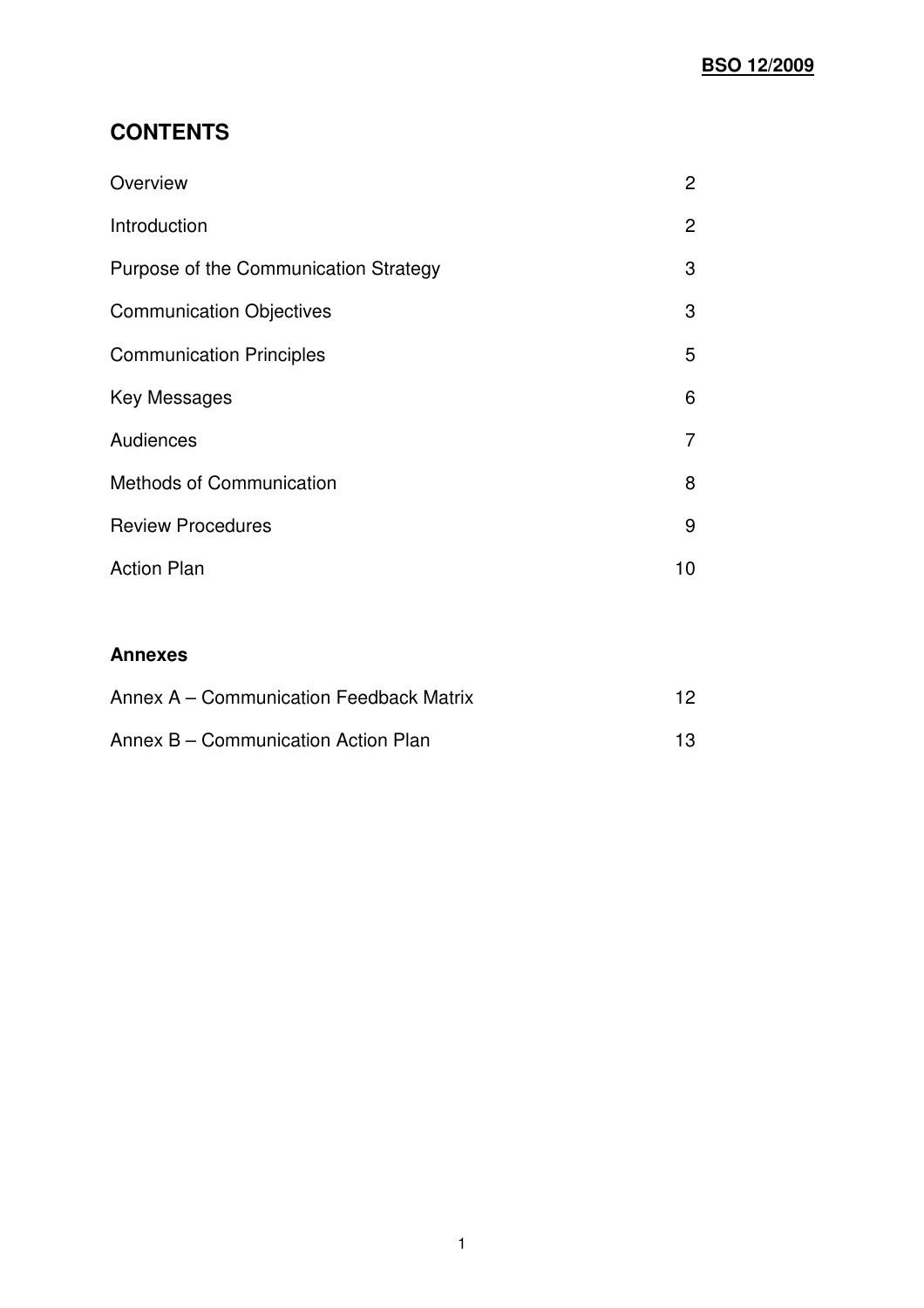## **CONTENTS**

| Overview                              | $\overline{2}$ |
|---------------------------------------|----------------|
| Introduction                          | $\mathbf{2}$   |
| Purpose of the Communication Strategy | 3              |
| <b>Communication Objectives</b>       | 3              |
| <b>Communication Principles</b>       | 5              |
| Key Messages                          | 6              |
| Audiences                             | 7              |
| <b>Methods of Communication</b>       | 8              |
| <b>Review Procedures</b>              | 9              |
| <b>Action Plan</b>                    | 10             |

#### **Annexes**

| Annex A – Communication Feedback Matrix |  |
|-----------------------------------------|--|
| Annex B – Communication Action Plan     |  |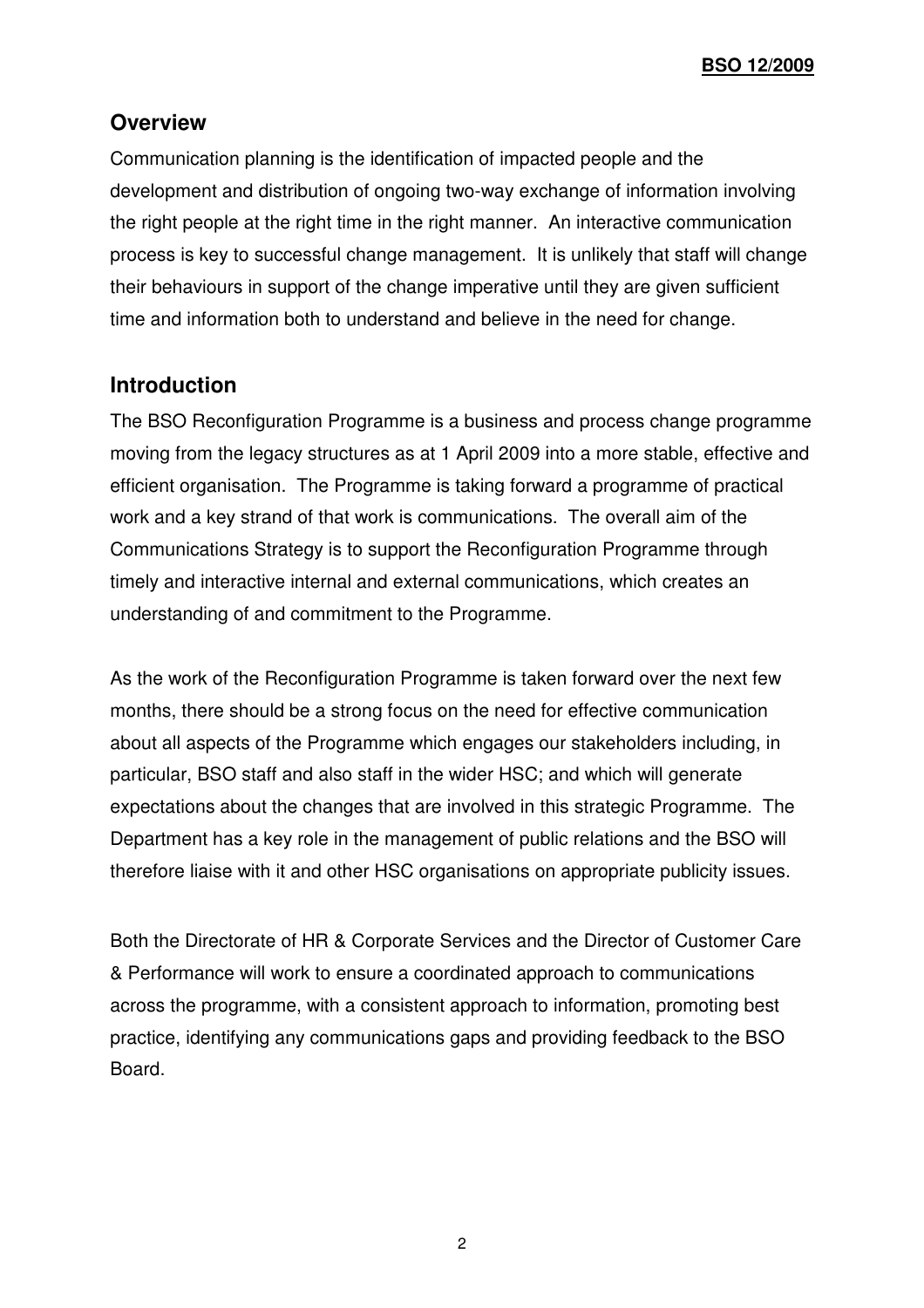**BSO 12/2009**

### **Overview**

Communication planning is the identification of impacted people and the development and distribution of ongoing two-way exchange of information involving the right people at the right time in the right manner. An interactive communication process is key to successful change management. It is unlikely that staff will change their behaviours in support of the change imperative until they are given sufficient time and information both to understand and believe in the need for change.

### **Introduction**

The BSO Reconfiguration Programme is a business and process change programme moving from the legacy structures as at 1 April 2009 into a more stable, effective and efficient organisation. The Programme is taking forward a programme of practical work and a key strand of that work is communications. The overall aim of the Communications Strategy is to support the Reconfiguration Programme through timely and interactive internal and external communications, which creates an understanding of and commitment to the Programme.

As the work of the Reconfiguration Programme is taken forward over the next few months, there should be a strong focus on the need for effective communication about all aspects of the Programme which engages our stakeholders including, in particular, BSO staff and also staff in the wider HSC; and which will generate expectations about the changes that are involved in this strategic Programme. The Department has a key role in the management of public relations and the BSO will therefore liaise with it and other HSC organisations on appropriate publicity issues.

Both the Directorate of HR & Corporate Services and the Director of Customer Care & Performance will work to ensure a coordinated approach to communications across the programme, with a consistent approach to information, promoting best practice, identifying any communications gaps and providing feedback to the BSO Board.

2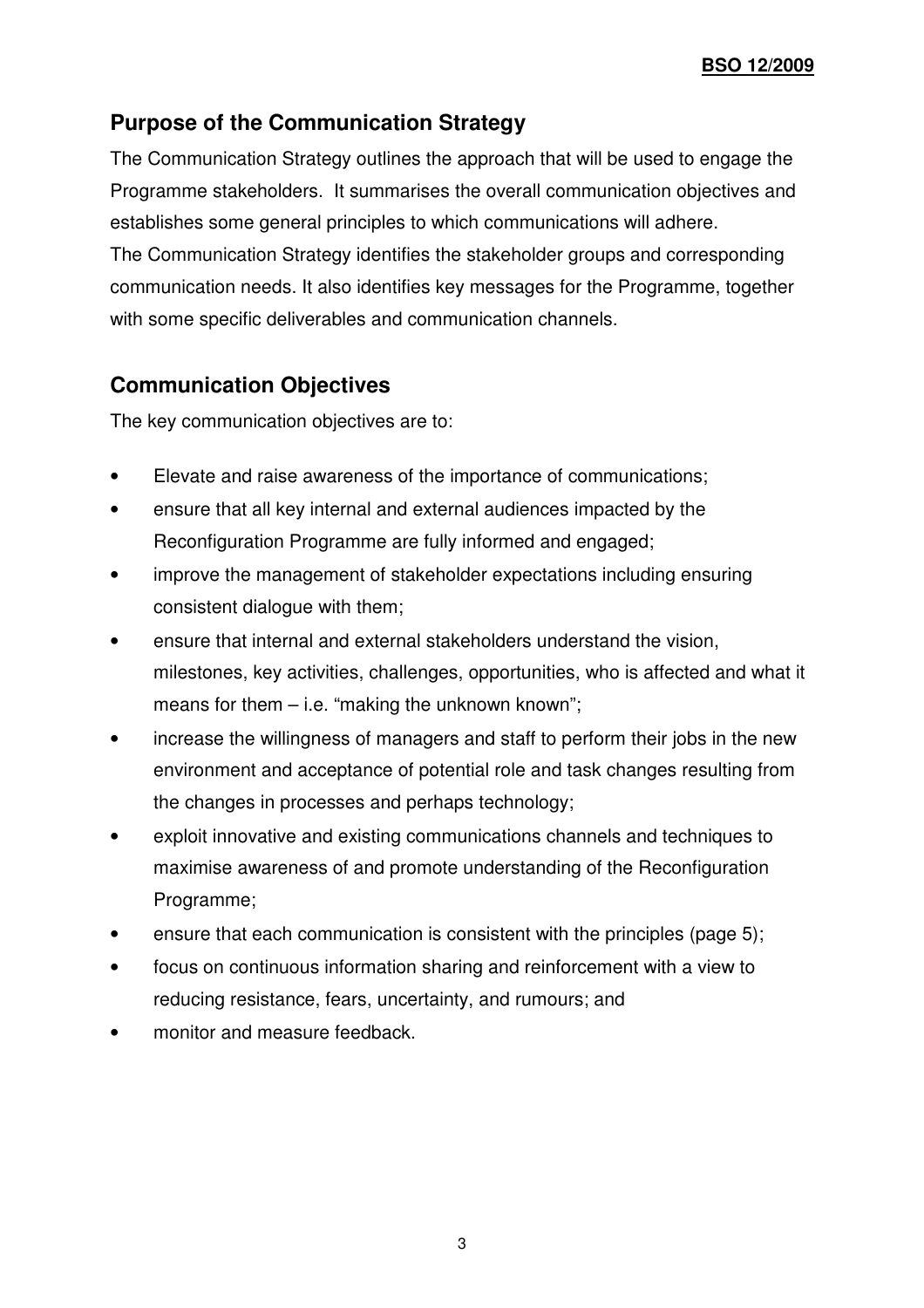# **Purpose of the Communication Strategy**

The Communication Strategy outlines the approach that will be used to engage the Programme stakeholders. It summarises the overall communication objectives and establishes some general principles to which communications will adhere. The Communication Strategy identifies the stakeholder groups and corresponding communication needs. It also identifies key messages for the Programme, together with some specific deliverables and communication channels.

# **Communication Objectives**

The key communication objectives are to:

- Elevate and raise awareness of the importance of communications;
- ensure that all key internal and external audiences impacted by the Reconfiguration Programme are fully informed and engaged;
- improve the management of stakeholder expectations including ensuring consistent dialogue with them;
- ensure that internal and external stakeholders understand the vision, milestones, key activities, challenges, opportunities, who is affected and what it means for them  $-$  i.e. "making the unknown known";
- increase the willingness of managers and staff to perform their jobs in the new environment and acceptance of potential role and task changes resulting from the changes in processes and perhaps technology;
- exploit innovative and existing communications channels and techniques to maximise awareness of and promote understanding of the Reconfiguration Programme;
- ensure that each communication is consistent with the principles (page 5);
- focus on continuous information sharing and reinforcement with a view to reducing resistance, fears, uncertainty, and rumours; and
- monitor and measure feedback.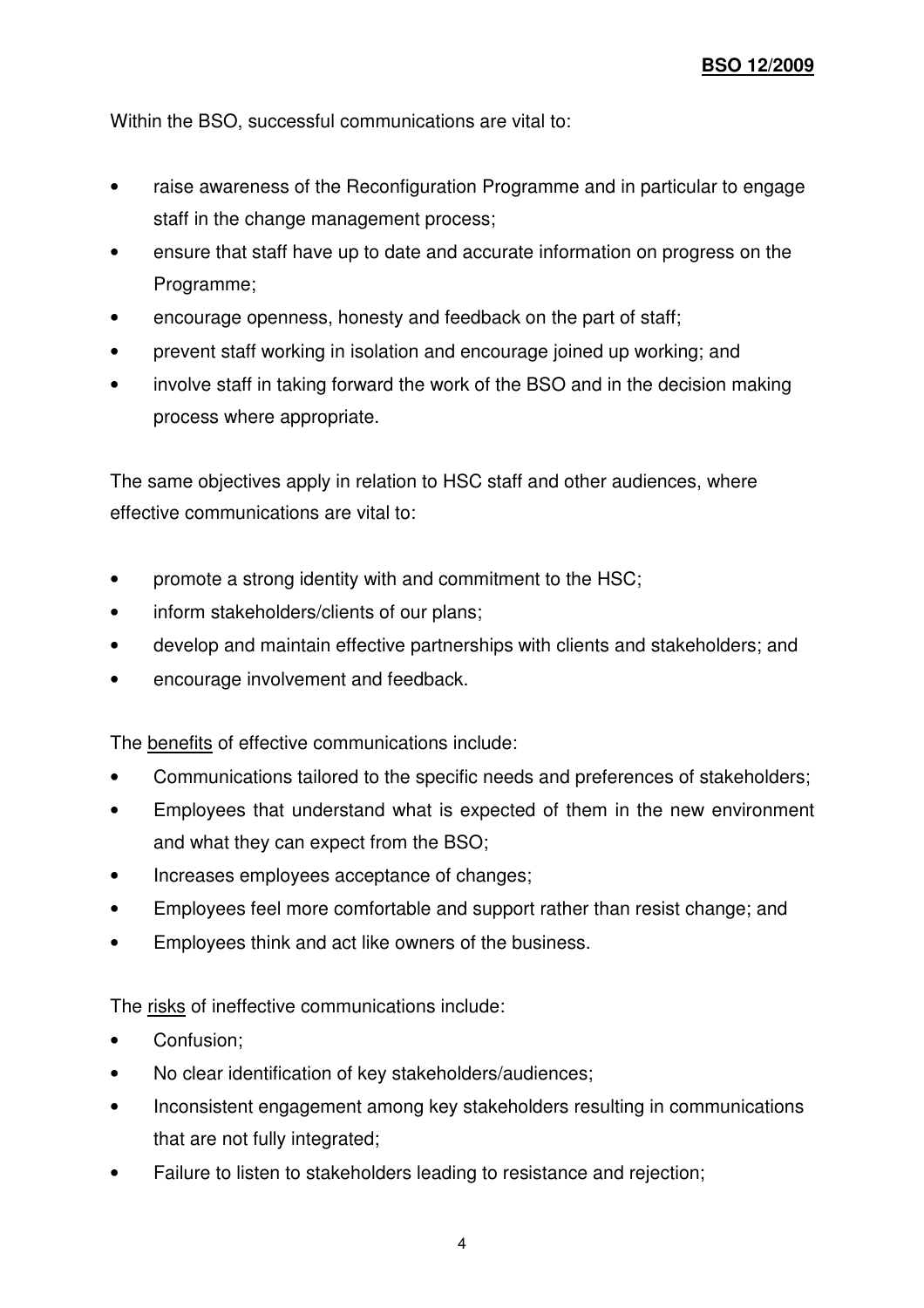Within the BSO, successful communications are vital to:

- raise awareness of the Reconfiguration Programme and in particular to engage staff in the change management process;
- ensure that staff have up to date and accurate information on progress on the Programme;
- encourage openness, honesty and feedback on the part of staff;
- prevent staff working in isolation and encourage joined up working; and
- involve staff in taking forward the work of the BSO and in the decision making process where appropriate.

The same objectives apply in relation to HSC staff and other audiences, where effective communications are vital to:

- promote a strong identity with and commitment to the HSC;
- inform stakeholders/clients of our plans;
- develop and maintain effective partnerships with clients and stakeholders; and
- encourage involvement and feedback.

The benefits of effective communications include:

- Communications tailored to the specific needs and preferences of stakeholders;
- Employees that understand what is expected of them in the new environment and what they can expect from the BSO;
- Increases employees acceptance of changes:
- Employees feel more comfortable and support rather than resist change; and
- Employees think and act like owners of the business.

The risks of ineffective communications include:

- Confusion;
- No clear identification of key stakeholders/audiences;
- Inconsistent engagement among key stakeholders resulting in communications that are not fully integrated;
- Failure to listen to stakeholders leading to resistance and rejection;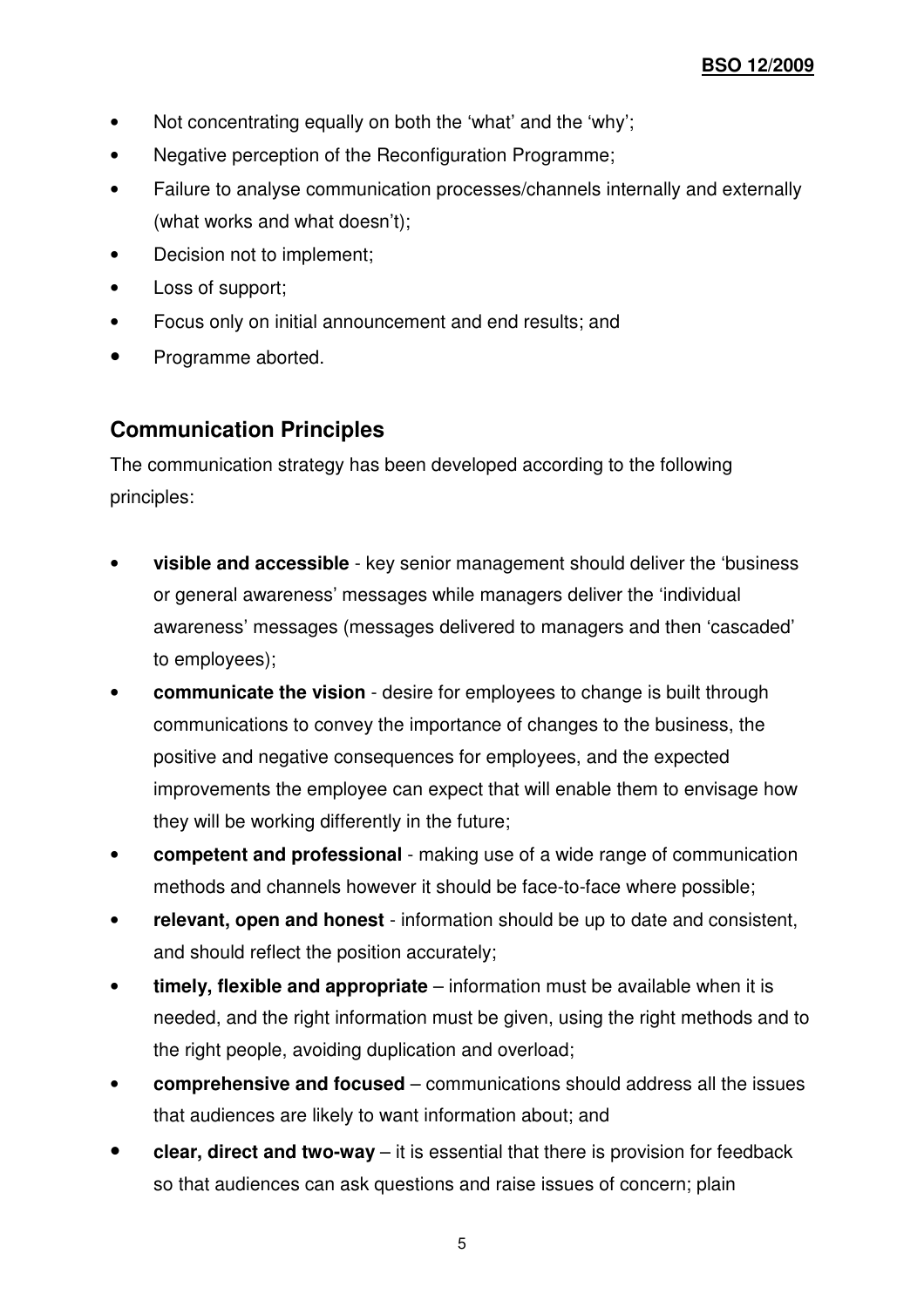- Not concentrating equally on both the 'what' and the 'why';
- Negative perception of the Reconfiguration Programme;
- Failure to analyse communication processes/channels internally and externally (what works and what doesn't);
- Decision not to implement;
- Loss of support;
- Focus only on initial announcement and end results; and
- Programme aborted.

## **Communication Principles**

The communication strategy has been developed according to the following principles:

- **visible and accessible** key senior management should deliver the 'business or general awareness' messages while managers deliver the 'individual awareness' messages (messages delivered to managers and then 'cascaded' to employees);
- **communicate the vision** desire for employees to change is built through communications to convey the importance of changes to the business, the positive and negative consequences for employees, and the expected improvements the employee can expect that will enable them to envisage how they will be working differently in the future;
- **competent and professional** making use of a wide range of communication methods and channels however it should be face-to-face where possible;
- **relevant, open and honest** information should be up to date and consistent, and should reflect the position accurately;
- **timely, flexible and appropriate** information must be available when it is needed, and the right information must be given, using the right methods and to the right people, avoiding duplication and overload;
- **comprehensive and focused** communications should address all the issues that audiences are likely to want information about; and
- **clear, direct and two-way** it is essential that there is provision for feedback so that audiences can ask questions and raise issues of concern; plain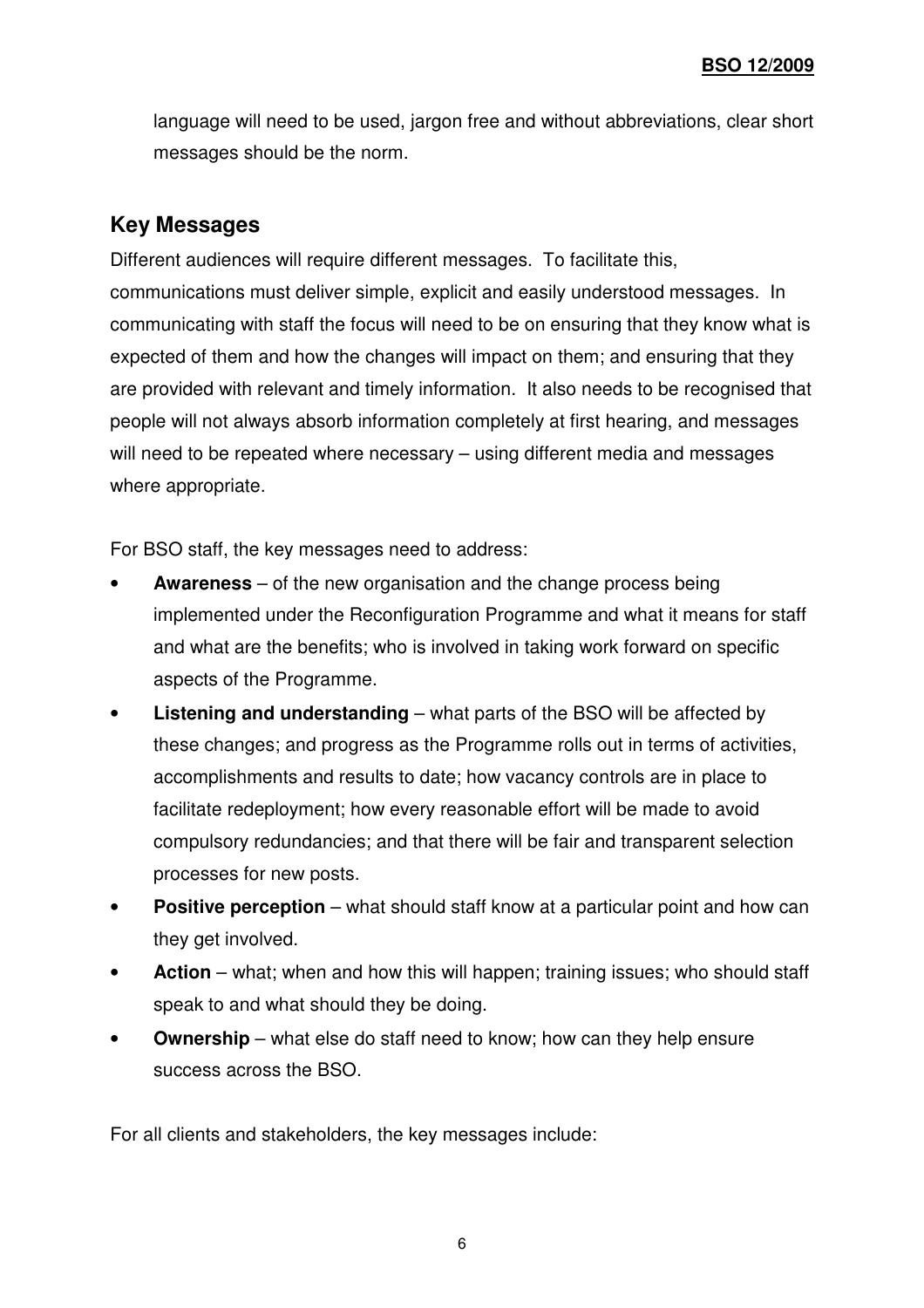language will need to be used, jargon free and without abbreviations, clear short messages should be the norm.

## **Key Messages**

Different audiences will require different messages. To facilitate this, communications must deliver simple, explicit and easily understood messages. In communicating with staff the focus will need to be on ensuring that they know what is expected of them and how the changes will impact on them; and ensuring that they are provided with relevant and timely information. It also needs to be recognised that people will not always absorb information completely at first hearing, and messages will need to be repeated where necessary – using different media and messages where appropriate.

For BSO staff, the key messages need to address:

- **Awareness** of the new organisation and the change process being implemented under the Reconfiguration Programme and what it means for staff and what are the benefits; who is involved in taking work forward on specific aspects of the Programme.
- **Listening and understanding**  what parts of the BSO will be affected by these changes; and progress as the Programme rolls out in terms of activities, accomplishments and results to date; how vacancy controls are in place to facilitate redeployment; how every reasonable effort will be made to avoid compulsory redundancies; and that there will be fair and transparent selection processes for new posts.
- **Positive perception** what should staff know at a particular point and how can they get involved.
- **Action** what; when and how this will happen; training issues; who should staff speak to and what should they be doing.
- Ownership what else do staff need to know; how can they help ensure success across the BSO.

For all clients and stakeholders, the key messages include: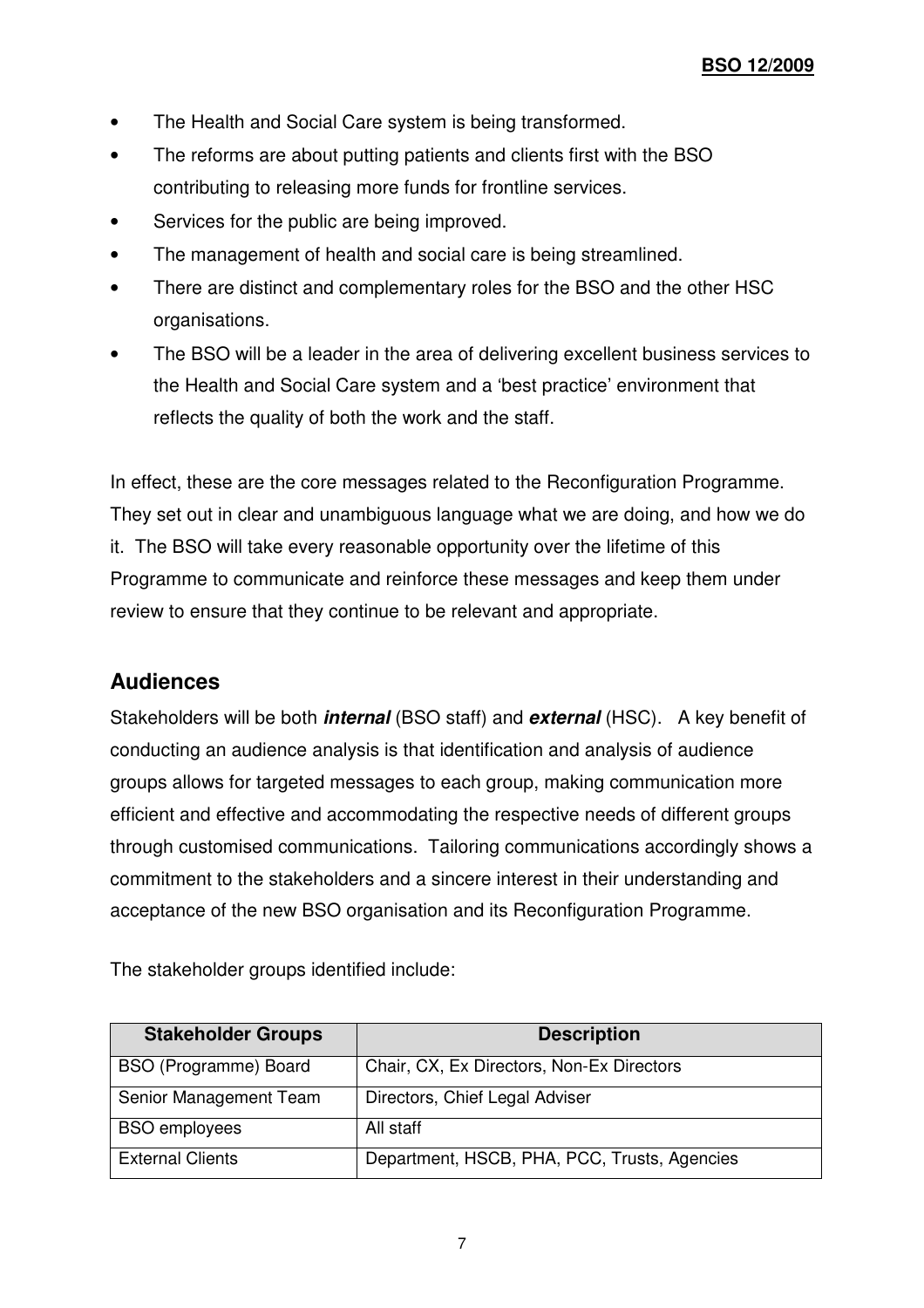- The Health and Social Care system is being transformed.
- The reforms are about putting patients and clients first with the BSO contributing to releasing more funds for frontline services.
- Services for the public are being improved.
- The management of health and social care is being streamlined.
- There are distinct and complementary roles for the BSO and the other HSC organisations.
- The BSO will be a leader in the area of delivering excellent business services to the Health and Social Care system and a 'best practice' environment that reflects the quality of both the work and the staff.

In effect, these are the core messages related to the Reconfiguration Programme. They set out in clear and unambiguous language what we are doing, and how we do it. The BSO will take every reasonable opportunity over the lifetime of this Programme to communicate and reinforce these messages and keep them under review to ensure that they continue to be relevant and appropriate.

## **Audiences**

Stakeholders will be both **internal** (BSO staff) and **external** (HSC). A key benefit of conducting an audience analysis is that identification and analysis of audience groups allows for targeted messages to each group, making communication more efficient and effective and accommodating the respective needs of different groups through customised communications. Tailoring communications accordingly shows a commitment to the stakeholders and a sincere interest in their understanding and acceptance of the new BSO organisation and its Reconfiguration Programme.

The stakeholder groups identified include:

| <b>Stakeholder Groups</b> | <b>Description</b>                           |
|---------------------------|----------------------------------------------|
| BSO (Programme) Board     | Chair, CX, Ex Directors, Non-Ex Directors    |
| Senior Management Team    | Directors, Chief Legal Adviser               |
| <b>BSO</b> employees      | All staff                                    |
| <b>External Clients</b>   | Department, HSCB, PHA, PCC, Trusts, Agencies |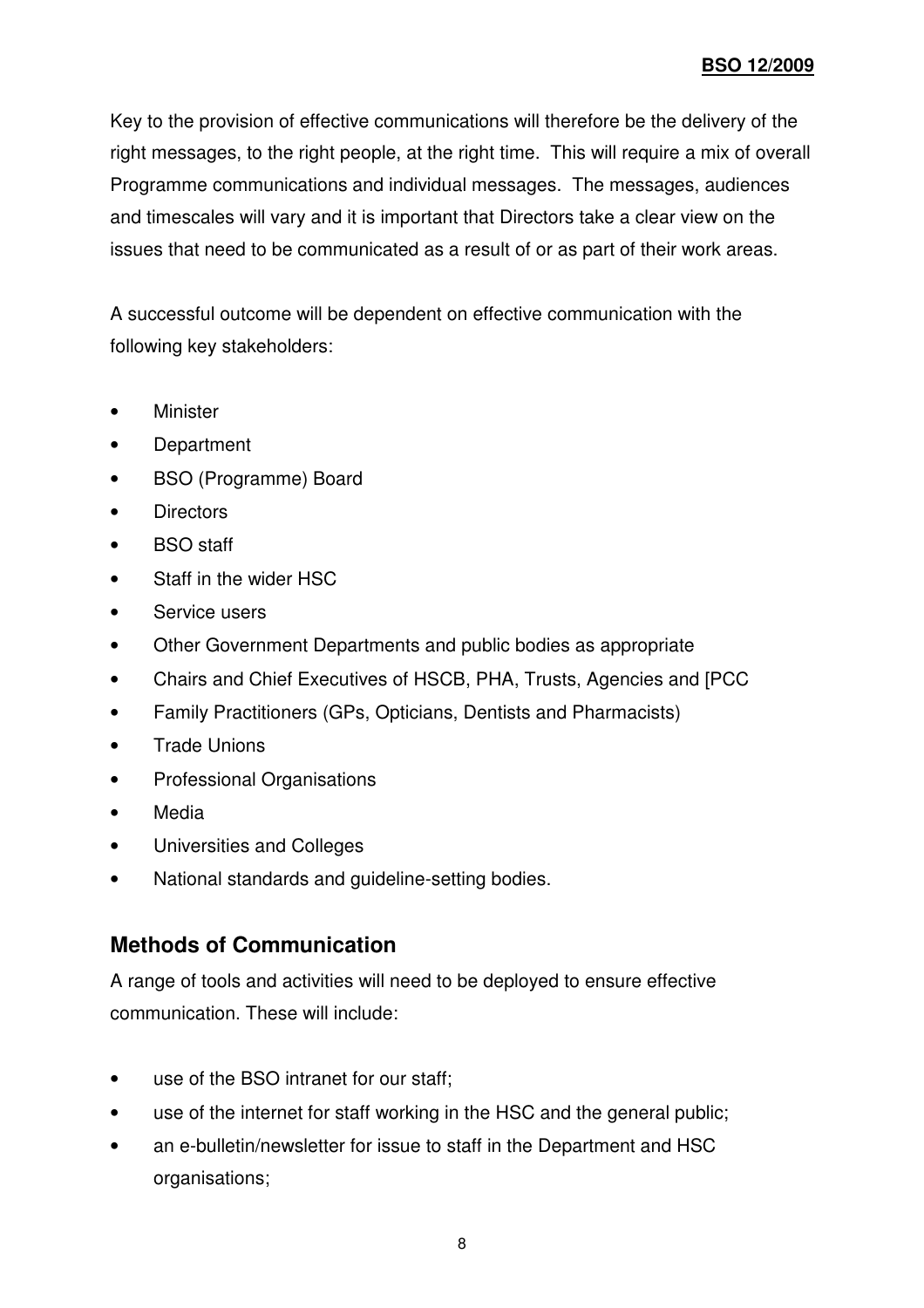Key to the provision of effective communications will therefore be the delivery of the right messages, to the right people, at the right time. This will require a mix of overall Programme communications and individual messages. The messages, audiences and timescales will vary and it is important that Directors take a clear view on the issues that need to be communicated as a result of or as part of their work areas.

A successful outcome will be dependent on effective communication with the following key stakeholders:

- Minister
- Department
- BSO (Programme) Board
- Directors
- BSO staff
- Staff in the wider HSC
- Service users
- Other Government Departments and public bodies as appropriate
- Chairs and Chief Executives of HSCB, PHA, Trusts, Agencies and [PCC
- Family Practitioners (GPs, Opticians, Dentists and Pharmacists)
- Trade Unions
- Professional Organisations
- Media
- Universities and Colleges
- National standards and guideline-setting bodies.

## **Methods of Communication**

A range of tools and activities will need to be deployed to ensure effective communication. These will include:

- use of the BSO intranet for our staff;
- use of the internet for staff working in the HSC and the general public;
- an e-bulletin/newsletter for issue to staff in the Department and HSC organisations;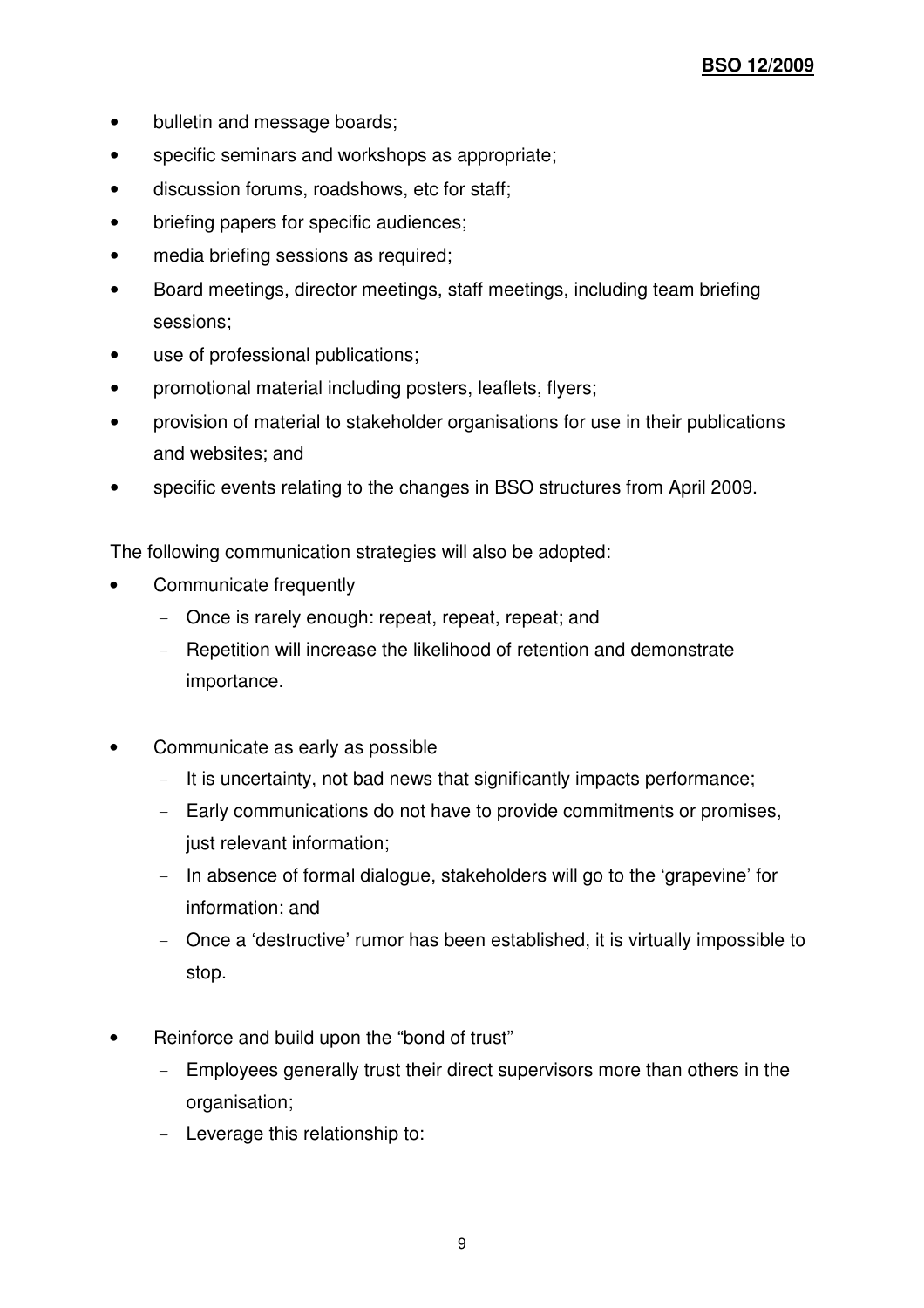- bulletin and message boards;
- specific seminars and workshops as appropriate;
- discussion forums, roadshows, etc for staff;
- briefing papers for specific audiences;
- media briefing sessions as required;
- Board meetings, director meetings, staff meetings, including team briefing sessions;
- use of professional publications;
- promotional material including posters, leaflets, flyers;
- provision of material to stakeholder organisations for use in their publications and websites; and
- specific events relating to the changes in BSO structures from April 2009.

The following communication strategies will also be adopted:

- Communicate frequently
	- Once is rarely enough: repeat, repeat, repeat; and
	- Repetition will increase the likelihood of retention and demonstrate importance.
- Communicate as early as possible
	- It is uncertainty, not bad news that significantly impacts performance;
	- Early communications do not have to provide commitments or promises, just relevant information;
	- In absence of formal dialogue, stakeholders will go to the 'grapevine' for information; and
	- Once a 'destructive' rumor has been established, it is virtually impossible to stop.
- Reinforce and build upon the "bond of trust"
	- Employees generally trust their direct supervisors more than others in the organisation;
	- Leverage this relationship to: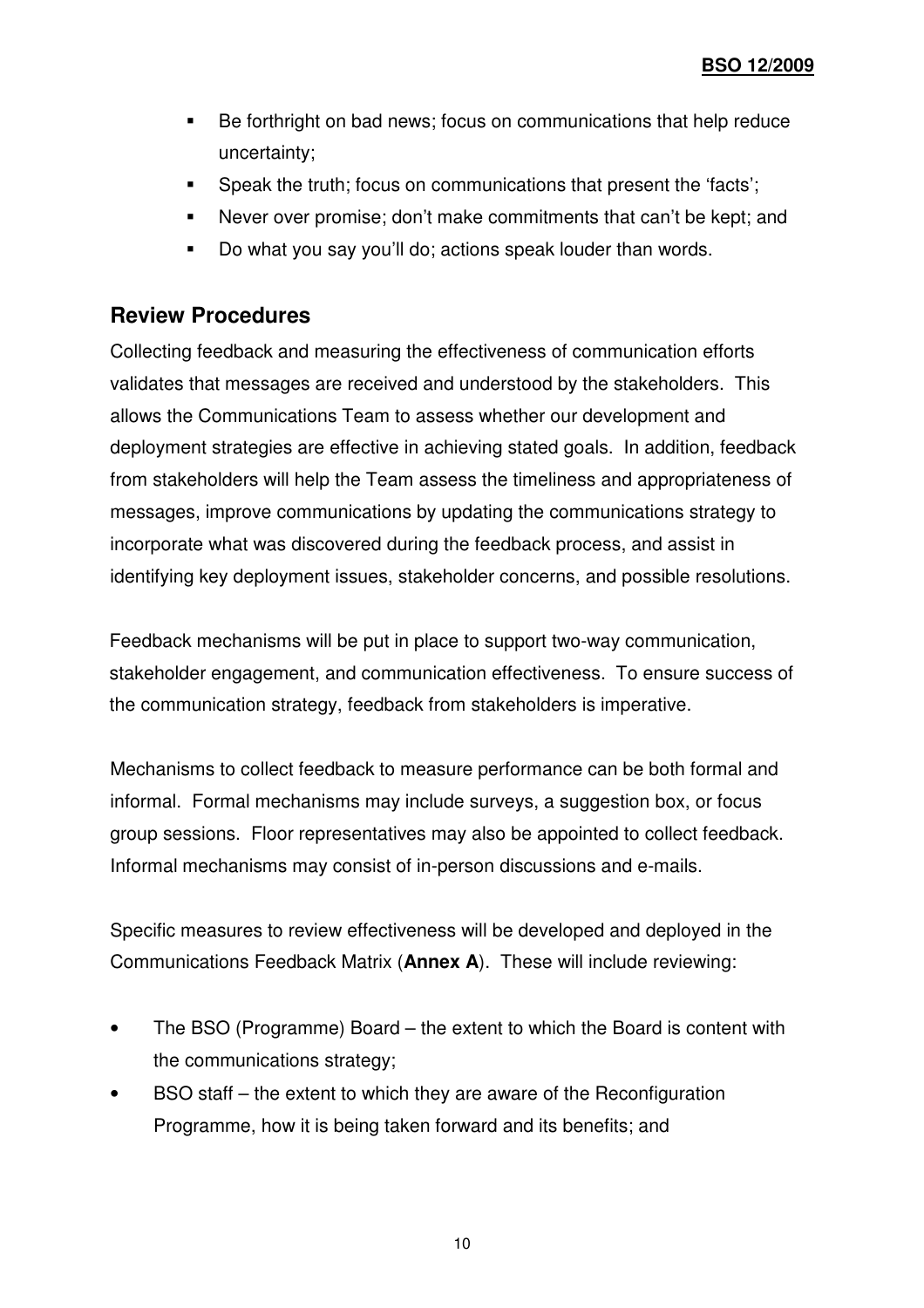- Be forthright on bad news; focus on communications that help reduce uncertainty;
- Speak the truth; focus on communications that present the 'facts';
- Never over promise; don't make commitments that can't be kept; and
- Do what you say you'll do; actions speak louder than words.

#### **Review Procedures**

Collecting feedback and measuring the effectiveness of communication efforts validates that messages are received and understood by the stakeholders. This allows the Communications Team to assess whether our development and deployment strategies are effective in achieving stated goals. In addition, feedback from stakeholders will help the Team assess the timeliness and appropriateness of messages, improve communications by updating the communications strategy to incorporate what was discovered during the feedback process, and assist in identifying key deployment issues, stakeholder concerns, and possible resolutions.

Feedback mechanisms will be put in place to support two-way communication, stakeholder engagement, and communication effectiveness. To ensure success of the communication strategy, feedback from stakeholders is imperative.

Mechanisms to collect feedback to measure performance can be both formal and informal. Formal mechanisms may include surveys, a suggestion box, or focus group sessions. Floor representatives may also be appointed to collect feedback. Informal mechanisms may consist of in-person discussions and e-mails.

Specific measures to review effectiveness will be developed and deployed in the Communications Feedback Matrix (**Annex A**). These will include reviewing:

- The BSO (Programme) Board the extent to which the Board is content with the communications strategy;
- BSO staff the extent to which they are aware of the Reconfiguration Programme, how it is being taken forward and its benefits; and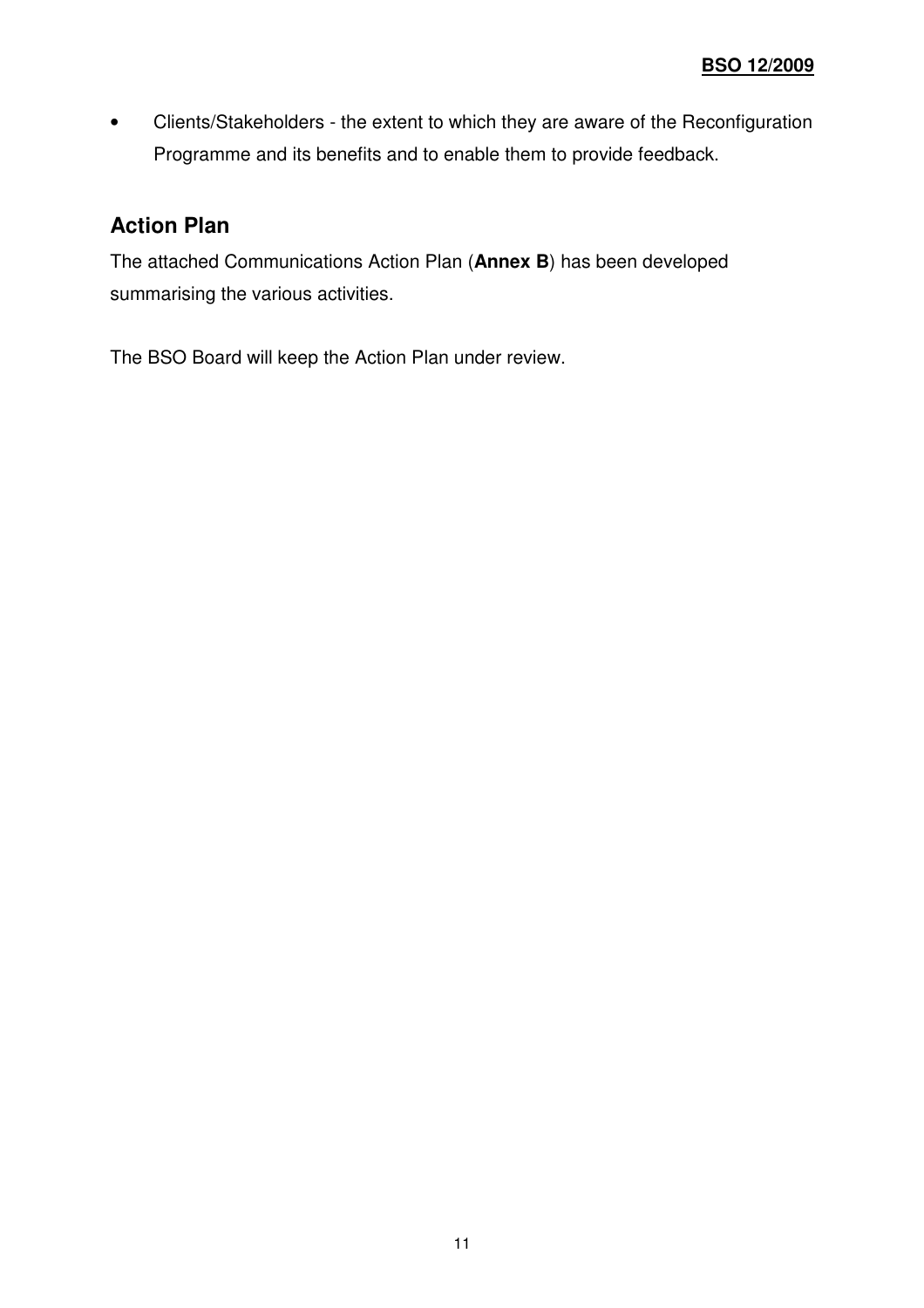• Clients/Stakeholders - the extent to which they are aware of the Reconfiguration Programme and its benefits and to enable them to provide feedback.

## **Action Plan**

The attached Communications Action Plan (**Annex B**) has been developed summarising the various activities.

The BSO Board will keep the Action Plan under review.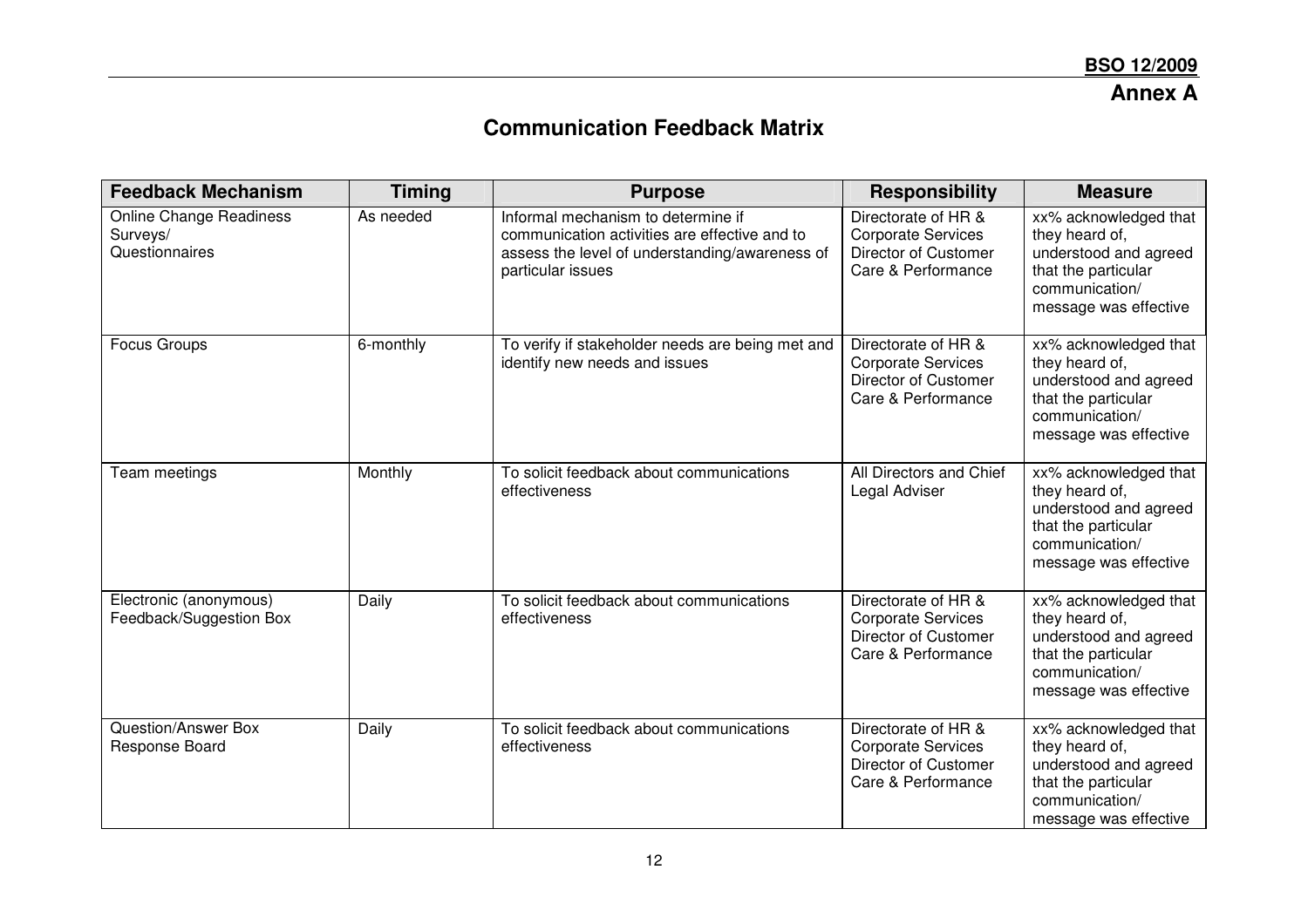#### **Annex A**

# **Communication Feedback Matrix**

| <b>Feedback Mechanism</b>                                    | <b>Timing</b> | <b>Purpose</b>                                                                                                                                             | <b>Responsibility</b>                                                                          | <b>Measure</b>                                                                                                                     |
|--------------------------------------------------------------|---------------|------------------------------------------------------------------------------------------------------------------------------------------------------------|------------------------------------------------------------------------------------------------|------------------------------------------------------------------------------------------------------------------------------------|
| <b>Online Change Readiness</b><br>Surveys/<br>Questionnaires | As needed     | Informal mechanism to determine if<br>communication activities are effective and to<br>assess the level of understanding/awareness of<br>particular issues | Directorate of HR &<br><b>Corporate Services</b><br>Director of Customer<br>Care & Performance | xx% acknowledged that<br>they heard of,<br>understood and agreed<br>that the particular<br>communication/<br>message was effective |
| <b>Focus Groups</b>                                          | 6-monthly     | To verify if stakeholder needs are being met and<br>identify new needs and issues                                                                          | Directorate of HR &<br><b>Corporate Services</b><br>Director of Customer<br>Care & Performance | xx% acknowledged that<br>they heard of,<br>understood and agreed<br>that the particular<br>communication/<br>message was effective |
| Team meetings                                                | Monthly       | To solicit feedback about communications<br>effectiveness                                                                                                  | All Directors and Chief<br>Legal Adviser                                                       | xx% acknowledged that<br>they heard of,<br>understood and agreed<br>that the particular<br>communication/<br>message was effective |
| Electronic (anonymous)<br>Feedback/Suggestion Box            | Daily         | To solicit feedback about communications<br>effectiveness                                                                                                  | Directorate of HR &<br><b>Corporate Services</b><br>Director of Customer<br>Care & Performance | xx% acknowledged that<br>they heard of,<br>understood and agreed<br>that the particular<br>communication/<br>message was effective |
| <b>Question/Answer Box</b><br>Response Board                 | Daily         | To solicit feedback about communications<br>effectiveness                                                                                                  | Directorate of HR &<br><b>Corporate Services</b><br>Director of Customer<br>Care & Performance | xx% acknowledged that<br>they heard of,<br>understood and agreed<br>that the particular<br>communication/<br>message was effective |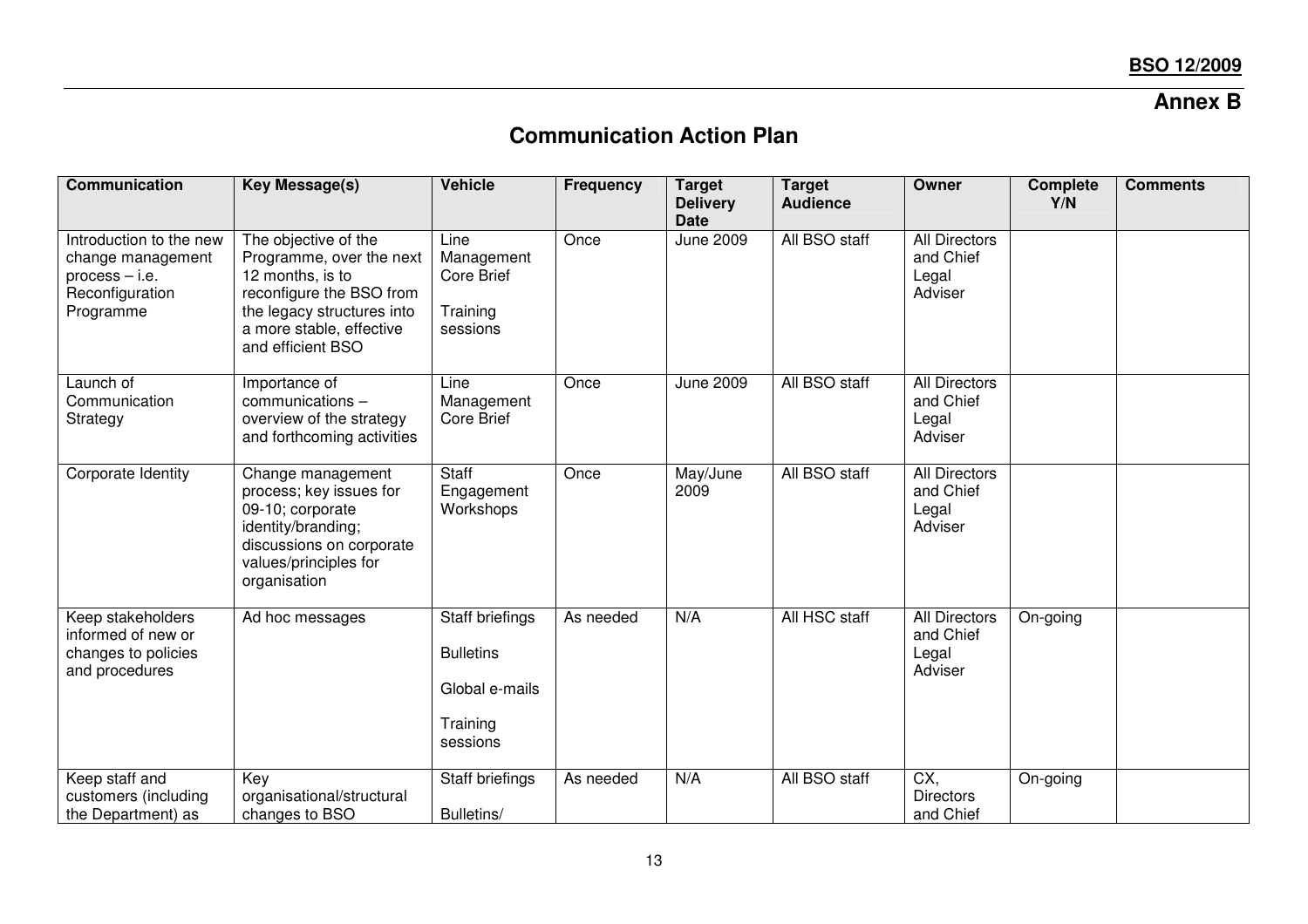## **Annex B**

## **Communication Action Plan**

| Communication                                                                                    | <b>Key Message(s)</b>                                                                                                                                                           | <b>Vehicle</b>                                                                | <b>Frequency</b> | <b>Target</b><br><b>Delivery</b><br><b>Date</b> | <b>Target</b><br><b>Audience</b> | Owner                                                 | <b>Complete</b><br>Y/N | <b>Comments</b> |
|--------------------------------------------------------------------------------------------------|---------------------------------------------------------------------------------------------------------------------------------------------------------------------------------|-------------------------------------------------------------------------------|------------------|-------------------------------------------------|----------------------------------|-------------------------------------------------------|------------------------|-----------------|
| Introduction to the new<br>change management<br>$process - i.e.$<br>Reconfiguration<br>Programme | The objective of the<br>Programme, over the next<br>12 months, is to<br>reconfigure the BSO from<br>the legacy structures into<br>a more stable, effective<br>and efficient BSO | Line<br>Management<br><b>Core Brief</b><br>Training<br>sessions               | Once             | <b>June 2009</b>                                | All BSO staff                    | <b>All Directors</b><br>and Chief<br>Legal<br>Adviser |                        |                 |
| Launch of<br>Communication<br>Strategy                                                           | Importance of<br>communications -<br>overview of the strategy<br>and forthcoming activities                                                                                     | Line<br>Management<br><b>Core Brief</b>                                       | Once             | <b>June 2009</b>                                | All BSO staff                    | <b>All Directors</b><br>and Chief<br>Legal<br>Adviser |                        |                 |
| Corporate Identity                                                                               | Change management<br>process; key issues for<br>09-10; corporate<br>identity/branding;<br>discussions on corporate<br>values/principles for<br>organisation                     | <b>Staff</b><br>Engagement<br>Workshops                                       | Once             | May/June<br>2009                                | All BSO staff                    | <b>All Directors</b><br>and Chief<br>Legal<br>Adviser |                        |                 |
| Keep stakeholders<br>informed of new or<br>changes to policies<br>and procedures                 | Ad hoc messages                                                                                                                                                                 | Staff briefings<br><b>Bulletins</b><br>Global e-mails<br>Training<br>sessions | As needed        | N/A                                             | All HSC staff                    | <b>All Directors</b><br>and Chief<br>Legal<br>Adviser | On-going               |                 |
| Keep staff and<br>customers (including<br>the Department) as                                     | Key<br>organisational/structural<br>changes to BSO                                                                                                                              | Staff briefings<br>Bulletins/                                                 | As needed        | N/A                                             | All BSO staff                    | CX,<br>Directors<br>and Chief                         | On-going               |                 |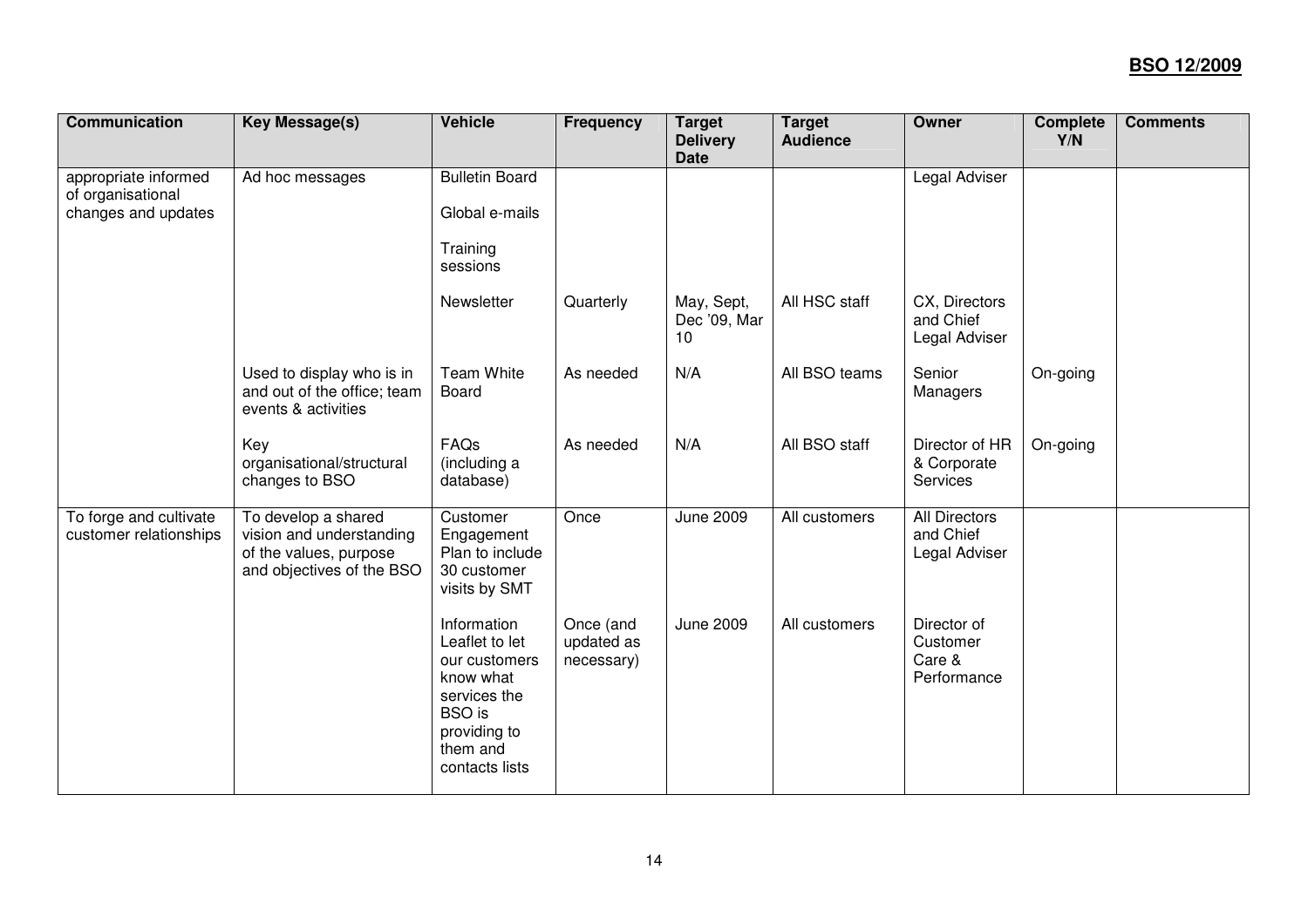| <b>Communication</b>                                             | <b>Key Message(s)</b>                                                                                  | <b>Vehicle</b>                                                                                                                             | <b>Frequency</b>                      | <b>Target</b><br><b>Delivery</b><br><b>Date</b> | <b>Target</b><br><b>Audience</b> | <b>Owner</b>                                       | <b>Complete</b><br>Y/N | <b>Comments</b> |
|------------------------------------------------------------------|--------------------------------------------------------------------------------------------------------|--------------------------------------------------------------------------------------------------------------------------------------------|---------------------------------------|-------------------------------------------------|----------------------------------|----------------------------------------------------|------------------------|-----------------|
| appropriate informed<br>of organisational<br>changes and updates | Ad hoc messages                                                                                        | <b>Bulletin Board</b><br>Global e-mails<br>Training<br>sessions                                                                            |                                       |                                                 |                                  | Legal Adviser                                      |                        |                 |
|                                                                  |                                                                                                        | Newsletter                                                                                                                                 | Quarterly                             | May, Sept,<br>Dec '09, Mar<br>10                | All HSC staff                    | CX, Directors<br>and Chief<br>Legal Adviser        |                        |                 |
|                                                                  | Used to display who is in<br>and out of the office; team<br>events & activities                        | <b>Team White</b><br>Board                                                                                                                 | As needed                             | N/A                                             | All BSO teams                    | Senior<br>Managers                                 | On-going               |                 |
|                                                                  | Key<br>organisational/structural<br>changes to BSO                                                     | FAQs<br>(including a<br>database)                                                                                                          | As needed                             | N/A                                             | All BSO staff                    | Director of HR<br>& Corporate<br>Services          | On-going               |                 |
| To forge and cultivate<br>customer relationships                 | To develop a shared<br>vision and understanding<br>of the values, purpose<br>and objectives of the BSO | Customer<br>Engagement<br>Plan to include<br>30 customer<br>visits by SMT                                                                  | Once                                  | June 2009                                       | All customers                    | <b>All Directors</b><br>and Chief<br>Legal Adviser |                        |                 |
|                                                                  |                                                                                                        | Information<br>Leaflet to let<br>our customers<br>know what<br>services the<br><b>BSO</b> is<br>providing to<br>them and<br>contacts lists | Once (and<br>updated as<br>necessary) | June 2009                                       | All customers                    | Director of<br>Customer<br>Care &<br>Performance   |                        |                 |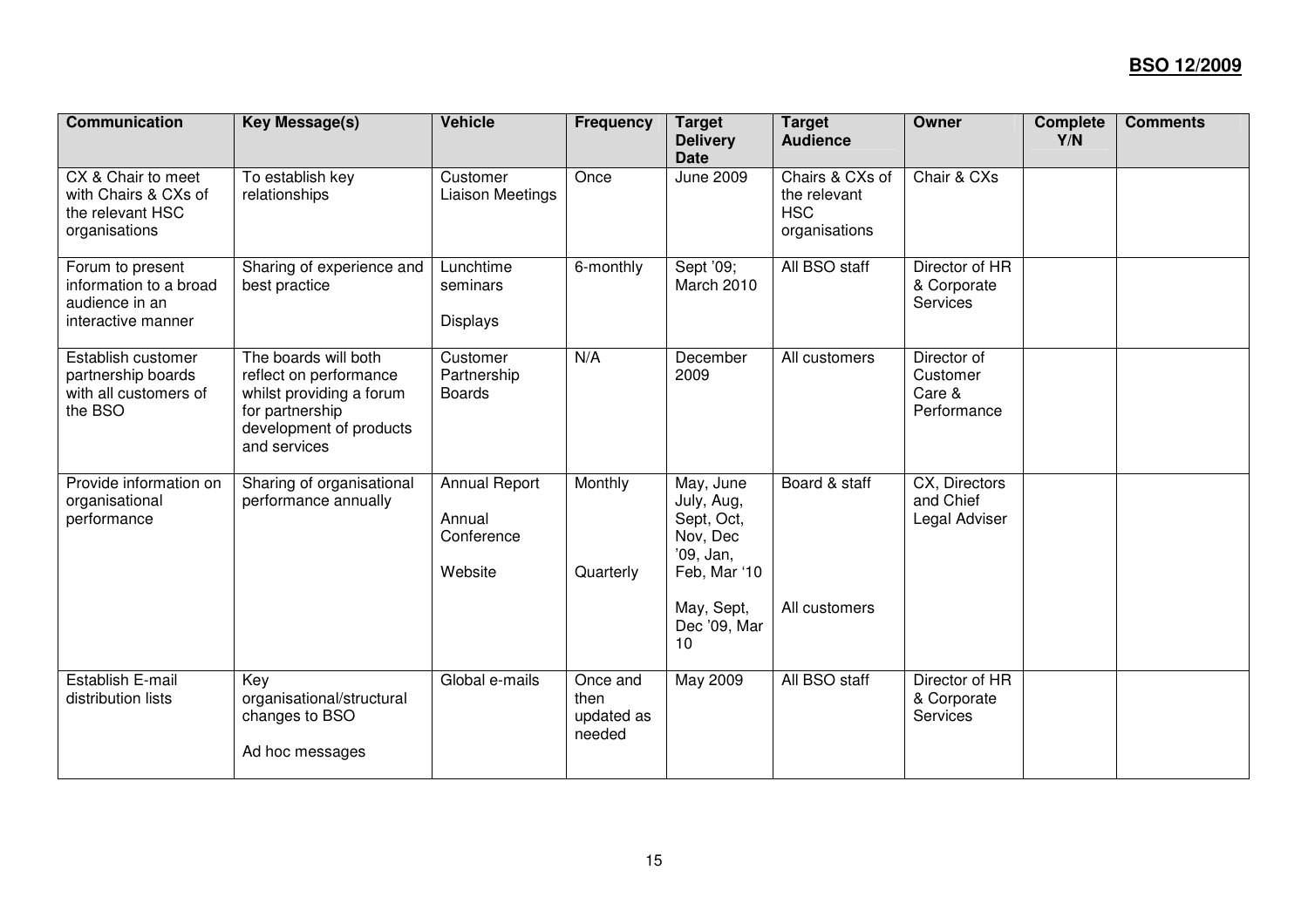| <b>Communication</b>                                                               | <b>Key Message(s)</b>                                                                                                                    | <b>Vehicle</b>                                          | <b>Frequency</b>                         | <b>Target</b><br><b>Delivery</b><br><b>Date</b>                                | <b>Target</b><br><b>Audience</b>                               | Owner                                            | <b>Complete</b><br>Y/N | <b>Comments</b> |
|------------------------------------------------------------------------------------|------------------------------------------------------------------------------------------------------------------------------------------|---------------------------------------------------------|------------------------------------------|--------------------------------------------------------------------------------|----------------------------------------------------------------|--------------------------------------------------|------------------------|-----------------|
| CX & Chair to meet<br>with Chairs & CXs of<br>the relevant HSC<br>organisations    | To establish key<br>relationships                                                                                                        | Customer<br><b>Liaison Meetings</b>                     | Once                                     | <b>June 2009</b>                                                               | Chairs & CXs of<br>the relevant<br><b>HSC</b><br>organisations | Chair & CXs                                      |                        |                 |
| Forum to present<br>information to a broad<br>audience in an<br>interactive manner | Sharing of experience and<br>best practice                                                                                               | Lunchtime<br>seminars<br><b>Displays</b>                | 6-monthly                                | Sept '09;<br>March 2010                                                        | All BSO staff                                                  | Director of HR<br>& Corporate<br>Services        |                        |                 |
| Establish customer<br>partnership boards<br>with all customers of<br>the BSO       | The boards will both<br>reflect on performance<br>whilst providing a forum<br>for partnership<br>development of products<br>and services | Customer<br>Partnership<br><b>Boards</b>                | N/A                                      | December<br>2009                                                               | All customers                                                  | Director of<br>Customer<br>Care &<br>Performance |                        |                 |
| Provide information on<br>organisational<br>performance                            | Sharing of organisational<br>performance annually                                                                                        | <b>Annual Report</b><br>Annual<br>Conference<br>Website | Monthly<br>Quarterly                     | May, June<br>July, Aug,<br>Sept, Oct,<br>Nov, Dec<br>'09, Jan,<br>Feb, Mar '10 | Board & staff                                                  | CX, Directors<br>and Chief<br>Legal Adviser      |                        |                 |
|                                                                                    |                                                                                                                                          |                                                         |                                          | May, Sept,<br>Dec '09, Mar<br>10                                               | All customers                                                  |                                                  |                        |                 |
| Establish E-mail<br>distribution lists                                             | Key<br>organisational/structural<br>changes to BSO<br>Ad hoc messages                                                                    | Global e-mails                                          | Once and<br>then<br>updated as<br>needed | May 2009                                                                       | All BSO staff                                                  | Director of HR<br>& Corporate<br>Services        |                        |                 |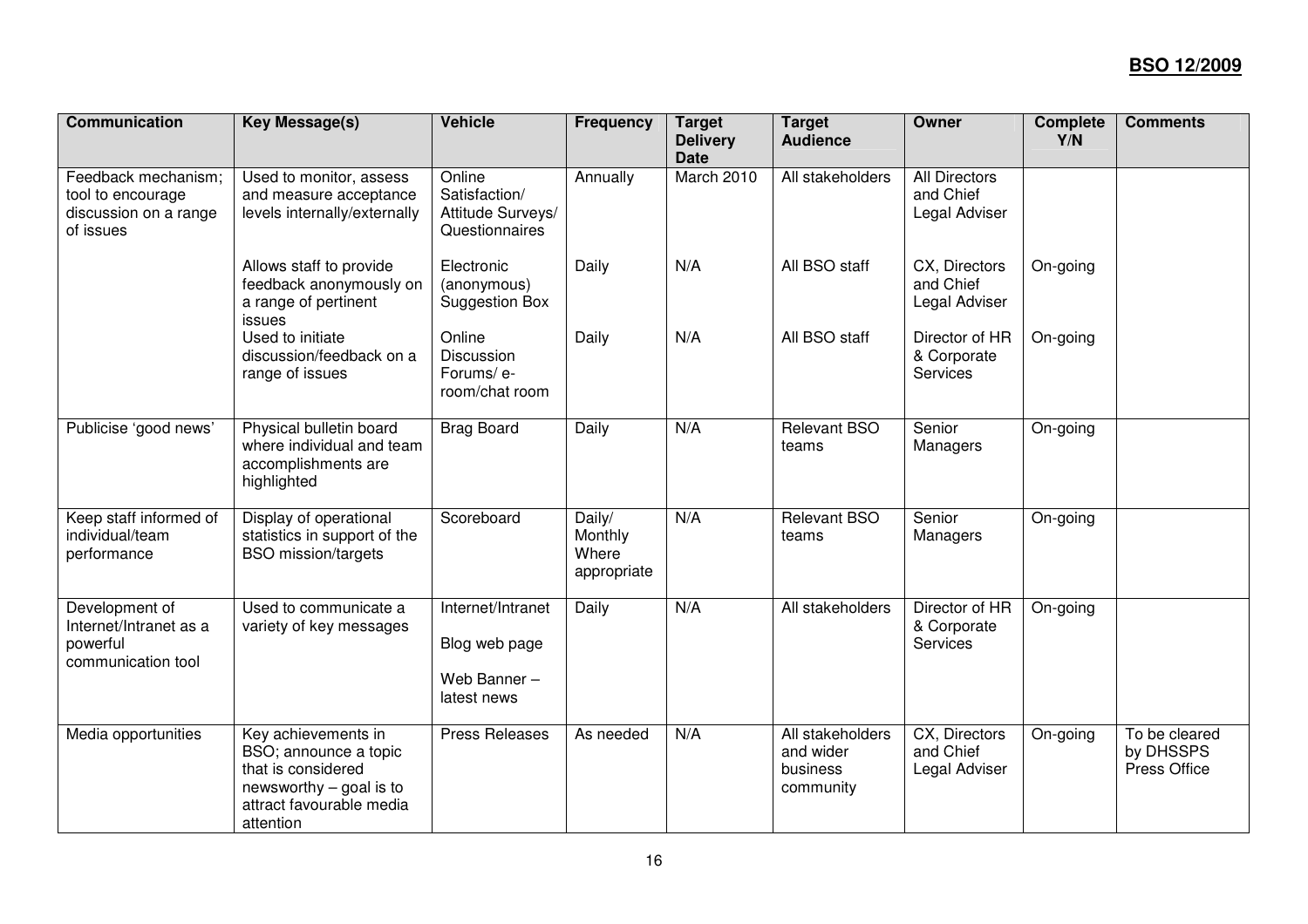| <b>Communication</b>                                                           | <b>Key Message(s)</b>                                                                                                                  | <b>Vehicle</b>                                                   | <b>Frequency</b>                          | <b>Target</b><br><b>Delivery</b><br><b>Date</b> | <b>Target</b><br><b>Audience</b>                       | Owner                                              | <b>Complete</b><br>Y/N | <b>Comments</b>                            |
|--------------------------------------------------------------------------------|----------------------------------------------------------------------------------------------------------------------------------------|------------------------------------------------------------------|-------------------------------------------|-------------------------------------------------|--------------------------------------------------------|----------------------------------------------------|------------------------|--------------------------------------------|
| Feedback mechanism;<br>tool to encourage<br>discussion on a range<br>of issues | Used to monitor, assess<br>and measure acceptance<br>levels internally/externally                                                      | Online<br>Satisfaction/<br>Attitude Surveys/<br>Questionnaires   | Annually                                  | March 2010                                      | All stakeholders                                       | <b>All Directors</b><br>and Chief<br>Legal Adviser |                        |                                            |
|                                                                                | Allows staff to provide<br>feedback anonymously on<br>a range of pertinent<br>issues                                                   | Electronic<br>(anonymous)<br><b>Suggestion Box</b>               | Daily                                     | N/A                                             | All BSO staff                                          | CX, Directors<br>and Chief<br>Legal Adviser        | On-going               |                                            |
|                                                                                | Used to initiate<br>discussion/feedback on a<br>range of issues                                                                        | Online<br>Discussion<br>Forums/ e-<br>room/chat room             | Daily                                     | N/A                                             | All BSO staff                                          | Director of HR<br>& Corporate<br>Services          | On-going               |                                            |
| Publicise 'good news'                                                          | Physical bulletin board<br>where individual and team<br>accomplishments are<br>highlighted                                             | <b>Brag Board</b>                                                | Daily                                     | N/A                                             | <b>Relevant BSO</b><br>teams                           | Senior<br>Managers                                 | On-going               |                                            |
| Keep staff informed of<br>individual/team<br>performance                       | Display of operational<br>statistics in support of the<br><b>BSO</b> mission/targets                                                   | Scoreboard                                                       | Daily/<br>Monthly<br>Where<br>appropriate | N/A                                             | Relevant BSO<br>teams                                  | Senior<br>Managers                                 | On-going               |                                            |
| Development of<br>Internet/Intranet as a<br>powerful<br>communication tool     | Used to communicate a<br>variety of key messages                                                                                       | Internet/Intranet<br>Blog web page<br>Web Banner-<br>latest news | Daily                                     | N/A                                             | All stakeholders                                       | Director of HR<br>& Corporate<br><b>Services</b>   | On-going               |                                            |
| Media opportunities                                                            | Key achievements in<br>BSO; announce a topic<br>that is considered<br>newsworthy - goal is to<br>attract favourable media<br>attention | <b>Press Releases</b>                                            | As needed                                 | N/A                                             | All stakeholders<br>and wider<br>business<br>community | CX, Directors<br>and Chief<br>Legal Adviser        | On-going               | To be cleared<br>by DHSSPS<br>Press Office |